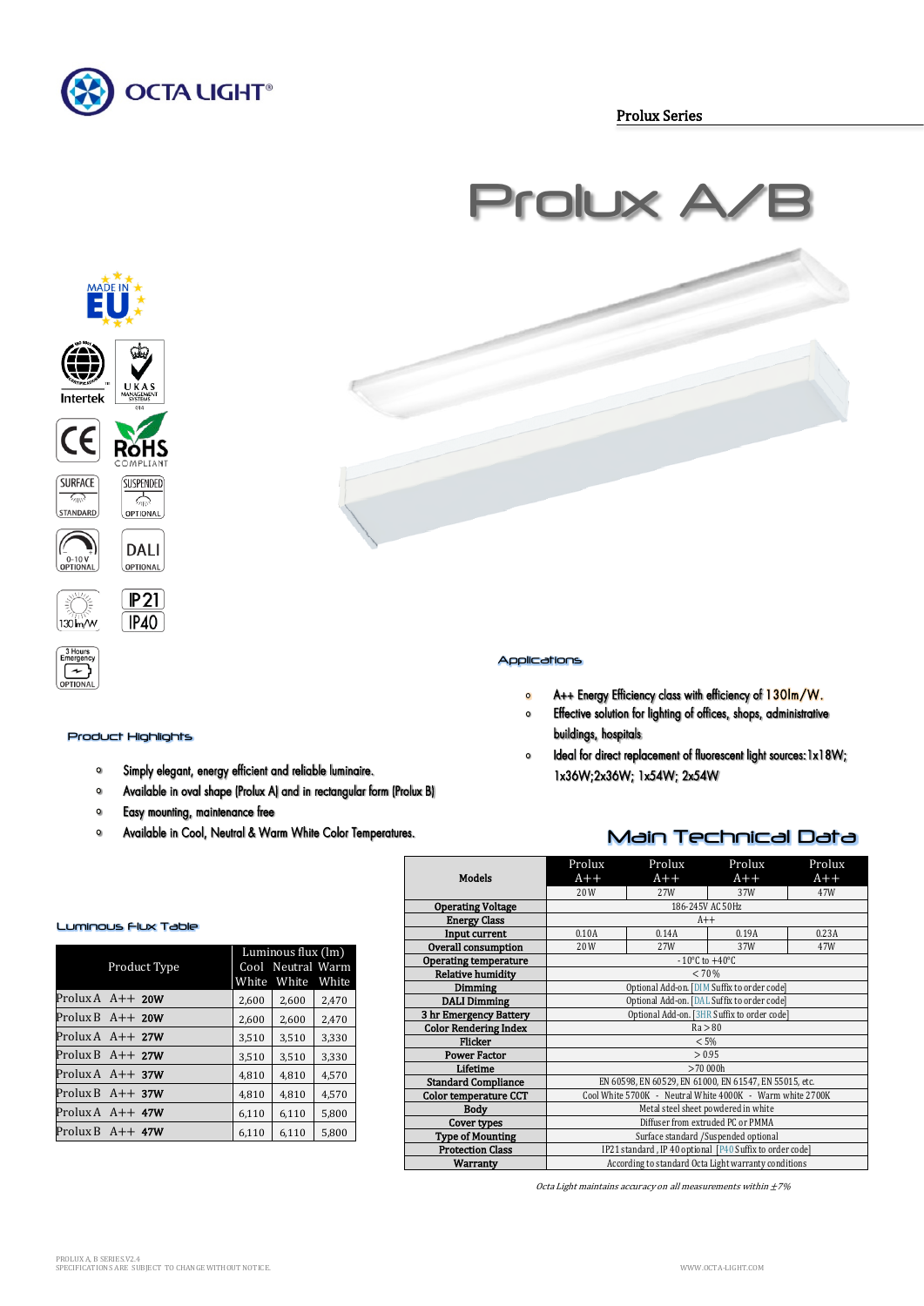

Prolux Series

# Prolux A









OPTIONAL

**DALI** 

OPTIONAL



3 Hours<br>Emergenc  $\lceil \cdot \rceil$ 



### Product Highlights

- Simply elegant, energy efficient and reliable luminaire.  $\bullet$
- $\mathbf{o}$ Available in oval shape (Prolux A) and in rectangular form (Prolux B)
- Easy mounting, maintenance free  $\circ$
- Available in Cool, Neutral & Warm White Color Temperatures.  $\mathbf{o}$



- A++ Energy Efficiency class with efficiency of 130lm/W.  $\bullet$
- Effective solution for lighting of offices, shops, administrative  $\bullet$ buildings, hospitals
- Ideal for direct replacement of fluorescent light sources: 1x18W;  $\circ$ 1x36W;2x36W; 1x54W; 2x54W

## Main Technical Data

| <b>Models</b>                                   | Prolux<br>$A++$                                           | Prolux<br>$A++$                    | Prolux<br>$A++$         | Prolux<br>$A++$ |  |  |
|-------------------------------------------------|-----------------------------------------------------------|------------------------------------|-------------------------|-----------------|--|--|
|                                                 | 20 W                                                      | 27W                                | 37W<br>186-245V AC 50Hz | 47W             |  |  |
| <b>Operating Voltage</b><br><b>Energy Class</b> |                                                           | $A++$                              |                         |                 |  |  |
|                                                 |                                                           |                                    |                         |                 |  |  |
| Input current                                   | 0.10A                                                     | 0.14A                              | 0.19A                   | 0.23A           |  |  |
| <b>Overall consumption</b>                      | 20W                                                       | 27W                                | 37W                     | 47W             |  |  |
| Operating temperature                           |                                                           | $-10^{\circ}$ C to $+40^{\circ}$ C |                         |                 |  |  |
| <b>Relative humidity</b>                        |                                                           | < 70%                              |                         |                 |  |  |
| Dimming                                         | Optional Add-on. [DIM Suffix to order code]               |                                    |                         |                 |  |  |
| <b>DALI Dimming</b>                             | Optional Add-on. [DAL Suffix to order code]               |                                    |                         |                 |  |  |
| 3 hr Emergency Battery                          | Optional Add-on. [3HR Suffix to order code]               |                                    |                         |                 |  |  |
| <b>Color Rendering Index</b>                    | Ra > 80                                                   |                                    |                         |                 |  |  |
| Flicker                                         | $< 5\%$                                                   |                                    |                         |                 |  |  |
| <b>Power Factor</b>                             | > 0.95                                                    |                                    |                         |                 |  |  |
| Lifetime                                        | >70,000h                                                  |                                    |                         |                 |  |  |
| <b>Standard Compliance</b>                      | EN 60598, EN 60529, EN 61000, EN 61547, EN 55015, etc.    |                                    |                         |                 |  |  |
| <b>Color temperature CCT</b>                    | Cool White 5700K - Neutral White 4000K - Warm white 2700K |                                    |                         |                 |  |  |
| <b>Body</b>                                     | Metal steel sheet powdered in white                       |                                    |                         |                 |  |  |
| Cover types                                     | Diffuser from extruded PC or PMMA                         |                                    |                         |                 |  |  |
| <b>Type of Mounting</b>                         | Surface standard /Suspended optional                      |                                    |                         |                 |  |  |
| <b>Protection Class</b>                         | IP21 standard, IP 40 optional [P40 Suffix to order code]  |                                    |                         |                 |  |  |
| Warranty                                        | According to standard Octa Light warranty conditions      |                                    |                         |                 |  |  |

Octa Light maintains accuracy on all measurements within  $\pm 7\%$ 

## Luminous Flux Table

| Product Type                  |       | Luminous flux (lm)<br>Cool Neutral Warm<br>White White White |       |  |  |
|-------------------------------|-------|--------------------------------------------------------------|-------|--|--|
| Prolux $A$ $A++$ 20W          | 2,600 | 2,600                                                        | 2,470 |  |  |
| Prolux B $A++20W$             | 2,600 | 2,600                                                        | 2,470 |  |  |
| Prolux $A \rightarrow A++27W$ | 3,510 | 3,510                                                        | 3,330 |  |  |
| Prolux B $A++27W$             | 3,510 | 3,510                                                        | 3,330 |  |  |
| Prolux $A \rightarrow A++37W$ | 4,810 | 4,810                                                        | 4.570 |  |  |
| Prolux B $A++37W$             | 4,810 | 4,810                                                        | 4,570 |  |  |
| Prolux $A$ $A++$ 47W          | 6.110 | 6,110                                                        | 5,800 |  |  |
| Prolux B $A++$ 47W            | 6.110 | 6.110                                                        | 5,800 |  |  |